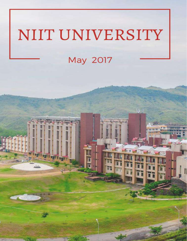# NIIT UNIVERSITY

# May 2017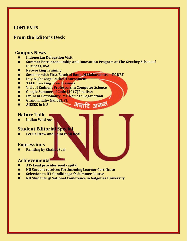# **CONTENTS**

# **From the Editor's Desk**

# **Campus News**

- **Indonesian Delegation Visit**
- Summer Entrepreneurship and Innovation Program at The Greehey School of **Business, USA**
- **Networking Training**
- **Sessions with First Batch of Bank Of Maharashtra – PGDBF**
- **Day-Night Cage Cricket Tournament**
- **TALF Speaking Tree Sessions**
- **Visit of Eminent Professors in Computer Science**
- **Google Summer of Code (2017)Finalists**
- **Eminent Personality- Mr. Ramesh Loganathan**
- **Grand Finale- NanoEL PL**
- **AIESEC in NU**

# **Nature Talk**

**Indian Wild Ass**

# **Student Editorial Special**

**Let Us Draw and Paint It All Real**

# **Expressions**

**Painting by Chahat Suri**

## **Achievements**

- **AT- Lead provides seed capital**
- **NU Student receives Forthcoming Learner Certificate**
- **Selection to IIT Gandhinagar's Summer Course**
- **NU Students @ National Conference in Galgotias University**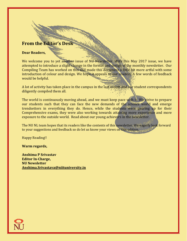# **From the Editor's Desk**

#### **Dear Readers,**

We welcome you to yet another issue of NU Newsletter. With this May 2017 issue, we have attempted to introduce a slight change in the format and design of the monthly newsletter. Our Compiling Team has worked on this and made this document a little bit more artful with some introduction of colour and design. We hope it appeals to our readers. A few words of feedback would be helpful.

A lot of activity has taken place in the campus in the last month and our student correspondents diligently compiled them all.

The world is continuously moving ahead, and we must keep pace with it. We strive to prepare our students such that they can face the new demands of the science world and emerge trendsetters in everything they do. Hence, while the students were gearing up for their Comprehensive exams, they were also working towards attaining more experience and more exposure to the outside world. Read about our young achievers in the newsletter.

The NU NL team hopes that its readers like the contents of this newsletter. We eagerly look forward to your suggestions and feedback so do let us know your views on this edition.

Happy Reading!!

**Warm regards,**

**Anshima P Srivastav Editor In-Charge, NU Newsletter [Anshima.Srivastava@niituniversity.in](mailto:Anshima.Srivastava@niituniversity.in)**

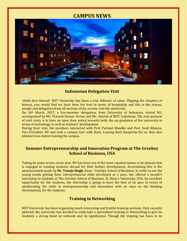# **CAMPUS NEWS**



## **Indonesian Delegation Visit**

'*Atithi devo bhavah'.* NIIT University has been a true follower of same. Flipping the chapters of history, you would find we have been the best in terms of hospitality and this is the reason, people and delegation from all sections of the society visit the university.

On 16th March, 2017, a five-member delegation, from University of Indonesia, visited NU, accompanied by Mr. Pravesh Kumar Verma and Mr. Amrish of NIIT, Indonesia. The sole purpose of such visits is to have an open door policy towards both, the up gradation of the university in terms of technology as well as students' development.

During their visit, the members interacted with Prof. Parimal Mandke and Prof. Sunil Khanna, Vice President, NU and took a campus tour with them. Leaving their footprints for us, they also planted trees before leaving the campus.

#### **Summer Entrepreneurship and Innovation Program at The Greehey School of Business, USA**

Taking its name across seven seas, NU has been one of the most reputed names in its domain that is engaged in sending students abroad for their further development. Ascertaining this is the announcement made by **Dr. Tanuja Singh**, Dean - Greehey School of Business. In order to see the young minds getting their entrepreneurial skills developed at a pace, she offered a month's internship to students at The Greehey School of Business, St. Mary's University, USA. An excellent opportunity for the students, the internship is going to have the best of its pace in terms of ameliorating the skills in entrepreneurship and innovation with an onus on the thinking development, for the students.

#### **Training in Networking**

NIIT University has been organizing much interesting and fruitful training sessions. Only recently planned, the university has decided to undertake a specialized training in Networking to give its students a strong hand on network and its significance. Though the training has been in its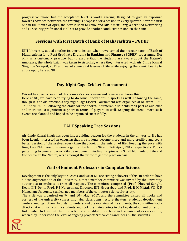progressive phase, but the acceptance level is worth sharing. Designed to give an exposure towards advance networks, the training is proposed for a session in every quarter. After the first one in the month of April, the next is soon to come and **Mr. Amrit Garg**, a certified Networking and IT Security professional is all set to provide another conducive session on the same.

#### **Sessions with First Batch of Bank of Maharashtra – PGDBF**

NIIT University added another feather to its cap when it welcomed the pioneer batch of **Bank of Maharashtra** for a **Post Graduate Diploma in Banking and Finance (PGDBF)** programme. Not only as a customary practice, but to ensure that the students are aware about the Nature's Ambience, the whole batch was taken to Astachal, where they interacted with **Air Cmde Kamal Singh** on 5th April, 2017 and learnt some vital lessons of life while enjoying the scenic beauty to adore upon, here at NU.

#### **Day-Night Cage Cricket Tournament**

Cricket has been a reason of this country's sports name and fame, we all know this!! Here at NU, we have been trying to do some innovations in sports as well. Following the same, though it is an old practice, a day-night Cage Cricket Tournament was organized at NU from  $13<sup>th</sup>$  – 14th April, 2017. Following the craze for the sports, innumerable students took part as audience and there was a significant support in terms of players as well. Keeping the trend, more such events are planned and hoped to be organized successfully.

## **TALF Speaking Tree Sessions**

Air Cmde Kamal Singh has been like a guiding beacon for the students in the university. He has been keenly interested in ensuring that his students become more and more credible and see a better version of themselves every time they look in the 'mirror of life'. Keeping the pace with time, two TALF Sessions were organized by him on 9<sup>th</sup> and 16<sup>th</sup> April, 2017 respectively. Topics pertaining to general personality development, Finding Happiness in Small Moments of Life and Connect With the Nature, were amongst the prime to get the place on dais.

#### **Visit of Eminent Professors in Computer Science**

Development is the only key to success, and we at NU are strong believers of this. In order to have a 360° augmentation of the university, a three member committee was invited by the university authorities to evaluate it from all respects. The committee comprised (**Prof. Dheeraj Sanghi**, Dean, IIIT Delhi, **Prof. P J Narayanan**, Director, IIIT Hyderabad and **Prof. R K Mittal**, VC, K R Mangalam University), all learned members of the computer science fraternity.

The visit was organized on 9<sup>th</sup> and 10<sup>th</sup> May, 2017, and the committee visited all nooks and corners of the university comprising labs, classrooms, lecture theaters, student's development centers amongst others. In order to understand the real view of the students, the committee had a direct chat with some of the students and took their viewpoints in the key development criterion. Not limited to this, but the interaction also enabled their trust in the university's curriculum, when they understood the level of ongoing projects/researches and ideas by the students.

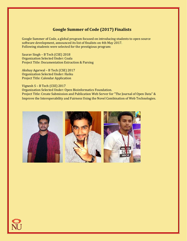# **Google Summer of Code (2017) Finalists**

Google Summer of Code, a global program focused on introducing students to open source software development, announced its list of finalists on 4th May 2017. Following students were selected for the prestigious program:

Saurav Singh – B Tech (CSE) 2018 Organization Selected Under: Coala Project Title: Documentation Extraction & Parsing

Akshay Agarwal – B Tech (CSE) 2017 Organization Selected Under: Haiku Project Title: Calendar Application

Vignesh S – B Tech (CSE) 2017 Organization Selected Under: Open Bioinformatics Foundation. Project Title: Create Submission and Publication Web Server for "The Journal of Open Data" & Improve the Interoperability and Fairness Using the Novel Combination of Web Technologies.



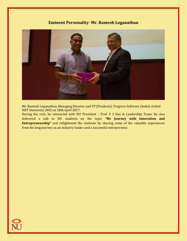## **Eminent Personality- Mr. Ramesh Loganathan**



Mr. Ramesh Loganathan, Managing Director and VP (Products), Progress Software (India) visited NIIT University (NU) on 18th April 2017.

During the visit, he interacted with NU President – Prof. V S Rao & Leadership Team. He also delivered a talk to NU students on the topic "**My Journey with Innovation and Entrepreneurship"** and enlightened the students by sharing some of the valuable experiences from his long journey as an industry leader and a successful entrepreneur.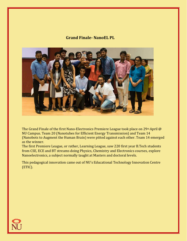#### **Grand Finale- NanoEL PL**



The Grand Finale of the first Nano-Electronics Premiere League took place on 29<sup>th</sup> April @ NU Campus. Team 20 (Nanotubes for Efficient Energy Transmission) and Team 14 (Nanobots to Augment the Human Brain) were pitted against each other. Team 14 emerged as the winner.

The first Premiere League, or rather, Learning League, saw 220 first year B.Tech students from CSE, ECE and BT streams doing Physics, Chemistry and Electronics courses, explore Nanoelectronics, a subject normally taught at Masters and doctoral levels.

This pedagogical innovation came out of NU's Educational Technology Innovation Centre (ETIC).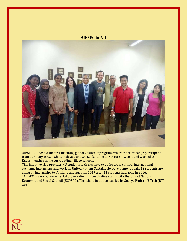#### **AIESEC in NU**



AIESEC NU hosted the first Incoming global volunteer program, wherein six exchange participants from Germany, Brazil, Chile, Malaysia and Sri Lanka came to NU, for six weeks and worked as English teacher in the surrounding village schools.

This initiative also provides NU students with a chance to go for cross cultural international exchange internships and work on United Nations Sustainable Development Goals. 12 students are going on internships to Thailand and Egypt in 2017 after 11 students had gone in 2016. "AIESEC is a non-governmental organization in consultative status with the United Nations Economic and Social Council (ECOSOC). The whole initiative was led by Sourya Rudra – B Tech (BT) 2018.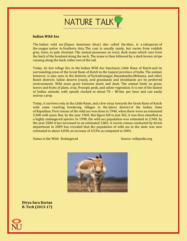

#### **Indian Wild Ass**

The Indian wild ass (Equus hemionus khur) also called the khur, is a subspecies of the onager native to Southern Asia. The coat is usually sandy, but varies from reddish grey, fawn, to pale chestnut. The animal possesses an erect, dark mane which runs from the back of the headand along the neck. The mane is then followed by a dark brown stripe running along the back, tothe root of the tail.

Today, its last refuge lies in the Indian Wild Ass Sanctuary, Little Rann of Kutch and its surrounding areas of the Great Rann of Kutch in the Gujarat province of India. The animal, however, is also seen in the districts of Surendranagar, Banaskantha,Mehsana, and other Kutch districts. Saline deserts (rann), arid grasslands and shrublands are its preferred environments. Wild asses graze between dawn and dusk. The animal feeds on grass, leaves and fruits of plant, crop, Prosopis pods, and saline vegetation. It is one of the fastest of Indian animals, with speeds clocked at about 70 – 80 km. per hour and can easily outrun a jeep.

Today, it survives only in the Little Rann, and a few stray towards the Great Rann of Kutch with some reaching bordering villages in the Jalore district of the Indian State of Rajasthan. First census of the wild ass was done in 1940, when there were an estimated 3,500 wild asses. But, by the year 1960, this figure fell to just 362, it was then classified as a highly endangered species. In 1998, the wild ass population was estimated at 2,940, by the year 2004 it has increased to an estimated 3,863. A recent census conducted by forest department in 2009 has revealed that the population of wild ass in the state was now estimated to about 4,038, an increase of 4.53% as compared to 2004.

Status in the Wild: Endangered Source: wikipedia.org



**Divya Sara Kurian B. Tech (2013-17)**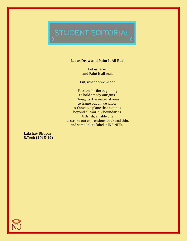# STUDENT EDITORIAL

#### **Let us Draw and Paint It All Real**

Let us Draw and Paint it all real.

But, what do we need?

Passion for the beginning to hold steady our guts. Thoughts, the material ones to frame out all we know. A Canvas, a plane that extends beyond all worldly boundaries. A Brush, an able one to stroke out expressions thick and thin. and some Ink to label it INFINITY.

**Lakshay Dhupar B.Tech (2015-19)**

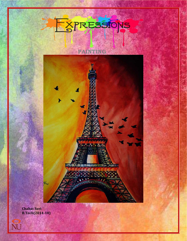# EXPRESSIONS

**PAINTING**

7/10 5/11 21 21 21 22 All of the Party of the

**ASIMER STATISTICS** 

**Chahat Suri B.Tech(2014-18)**

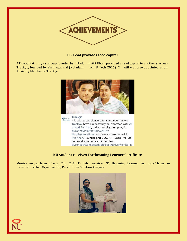

#### **AT- Lead provides seed capital**

AT-Lead Pvt. Ltd., a start-up founded by NU Alumni Atif Khan, provided a seed capital to another start-up Trackyo, founded by Yash Agarwal (NU Alumni from B Tech 2016). Mr. Atif was also appointed as an Advisory Member of Trackyo.



#### **NU Student receives Forthcoming Learner Certificate**

Monika Suryan from B.Tech (CSE) 2013-17 batch received "Forthcoming Learner Certificate" from her Industry Practice Organization, Pure Design Solution, Gurgaon.



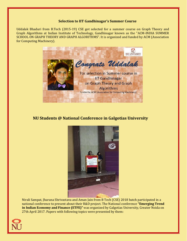#### **Selection to IIT Gandhinagar's Summer Course**

Uddalak Bhaduri from B.Tech (2015-19) CSE got selected for a summer course on Graph Theory and Graph Algorithms at Indian Institute of Technology, Gandhinagar known as the "ACM-INDIA SUMMER SCHOOL ON GRAPH THEORY AND GRAPH ALGORITHMS". It is organized and funded by ACM (Association for Computing Machinery).



## **NU Students @ National Conference in Galgotias University**



Nirali Sampat, Jharana Shrivastava and Aman Jain from B Tech (CSE) 2018 batch participated in a national conference to present about their R&D project. The National conference **"Emerging Trend in Indian Economy and Finance (ETFE)"** was organized by Galgotias University, Greater Noida on 27th April 2017. Papers with following topics were presented by them: